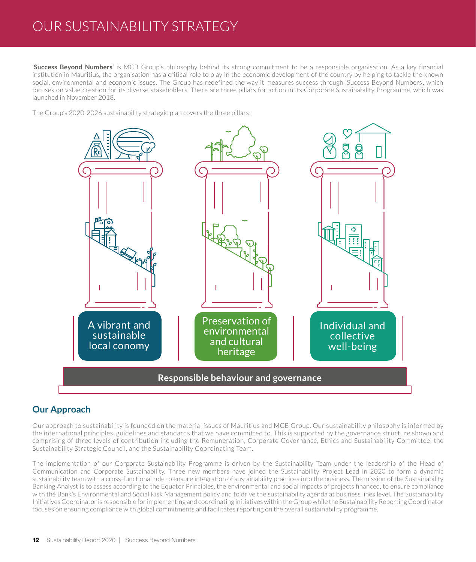# OUR SUSTAINABILITY STRATEGY

'**Success Beyond Numbers**' is MCB Group's philosophy behind its strong commitment to be a responsible organisation. As a key financial institution in Mauritius, the organisation has a critical role to play in the economic development of the country by helping to tackle the known social, environmental and economic issues. The Group has redefined the way it measures success through 'Success Beyond Numbers', which focuses on value creation for its diverse stakeholders. There are three pillars for action in its Corporate Sustainability Programme, which was launched in November 2018.

The Group's 2020-2026 sustainability strategic plan covers the three pillars:



# **Our Approach**

Our approach to sustainability is founded on the material issues of Mauritius and MCB Group. Our sustainability philosophy is informed by the international principles, guidelines and standards that we have committed to. This is supported by the governance structure shown and comprising of three levels of contribution including the Remuneration, Corporate Governance, Ethics and Sustainability Committee, the Sustainability Strategic Council, and the Sustainability Coordinating Team.

The implementation of our Corporate Sustainability Programme is driven by the Sustainability Team under the leadership of the Head of Communication and Corporate Sustainability. Three new members have joined the Sustainability Project Lead in 2020 to form a dynamic sustainability team with a cross-functional role to ensure integration of sustainability practices into the business. The mission of the Sustainability Banking Analyst is to assess according to the Equator Principles, the environmental and social impacts of projects financed, to ensure compliance with the Bank's Environmental and Social Risk Management policy and to drive the sustainability agenda at business lines level. The Sustainability Initiatives Coordinator is responsible for implementing and coordinating initiatives within the Group while the Sustainability Reporting Coordinator focuses on ensuring compliance with global commitments and facilitates reporting on the overall sustainability programme.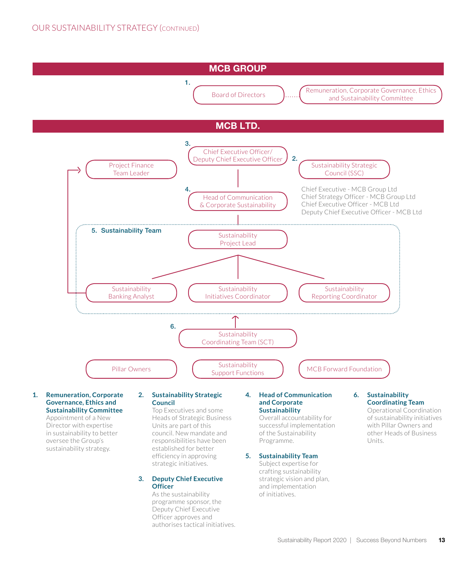

#### **1. Remuneration, Corporate Governance, Ethics and Sustainability Committee**

Appointment of a New Director with expertise in sustainability to better oversee the Group's sustainability strategy.

### **2. Sustainability Strategic Council**

Top Executives and some Heads of Strategic Business Units are part of this council. New mandate and responsibilities have been established for better efficiency in approving strategic initiatives.

### **3. Deputy Chief Executive Officer**

As the sustainability programme sponsor, the Deputy Chief Executive Officer approves and authorises tactical initiatives.

#### **4. Head of Communication and Corporate Sustainability**

Overall accountability for successful implementation of the Sustainability Programme.

### **5. Sustainability Team**

Subject expertise for crafting sustainability strategic vision and plan, and implementation of initiatives.

### **6. Sustainability Coordinating Team**

Operational Coordination of sustainability initiatives with Pillar Owners and other Heads of Business Units.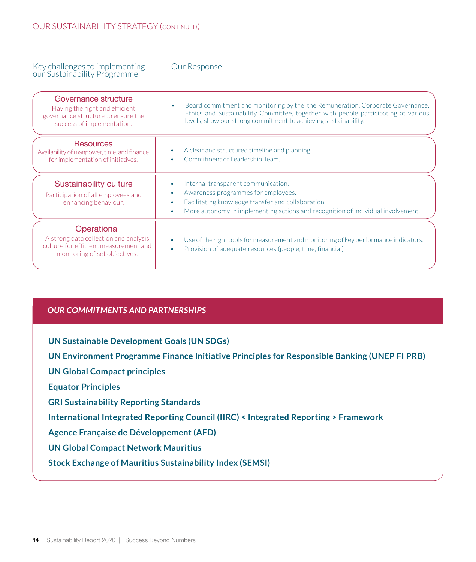### Key challenges to implementing our Sustainability Programme

### Our Response

| Governance structure<br>Having the right and efficient<br>governance structure to ensure the<br>success of implementation.     | Board commitment and monitoring by the the Remuneration, Corporate Governance,<br>$\bullet$<br>Ethics and Sustainability Committee, together with people participating at various<br>levels, show our strong commitment to achieving sustainability. |
|--------------------------------------------------------------------------------------------------------------------------------|------------------------------------------------------------------------------------------------------------------------------------------------------------------------------------------------------------------------------------------------------|
| <b>Resources</b><br>Availability of manpower, time, and finance<br>for implementation of initiatives.                          | A clear and structured timeline and planning.<br>Commitment of Leadership Team.                                                                                                                                                                      |
| <b>Sustainability culture</b><br>Participation of all employees and<br>enhancing behaviour.                                    | Internal transparent communication.<br>Awareness programmes for employees.<br>Facilitating knowledge transfer and collaboration.<br>More autonomy in implementing actions and recognition of individual involvement.                                 |
| Operational<br>A strong data collection and analysis<br>culture for efficient measurement and<br>monitoring of set objectives. | Use of the right tools for measurement and monitoring of key performance indicators.<br>Provision of adequate resources (people, time, financial)                                                                                                    |

## *OUR COMMITMENTS AND PARTNERSHIPS*

**UN Sustainable Development Goals (UN SDGs)**

**UN Environment Programme Finance Initiative Principles for Responsible Banking (UNEP FI PRB)**

**UN Global Compact principles**

**Equator Principles**

**GRI Sustainability Reporting Standards**

**International Integrated Reporting Council (IIRC) < Integrated Reporting > Framework** 

**Agence Française de Développement (AFD)**

**UN Global Compact Network Mauritius**

**Stock Exchange of Mauritius Sustainability Index (SEMSI)**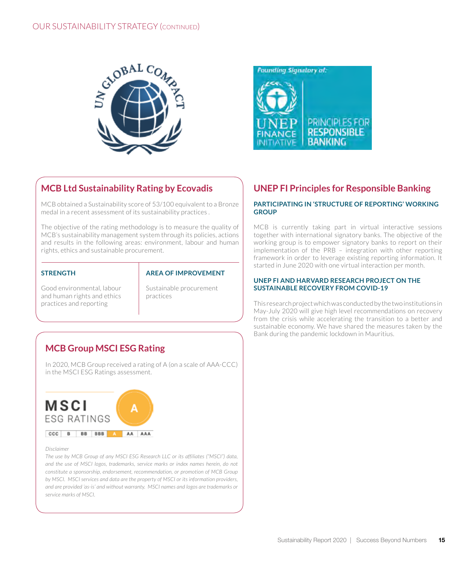



# **MCB Ltd Sustainability Rating by Ecovadis**

MCB obtained a Sustainability score of 53/100 equivalent to a Bronze medal in a recent assessment of its sustainability practices .

The objective of the rating methodology is to measure the quality of MCB's sustainability management system through its policies, actions and results in the following areas: environment, labour and human rights, ethics and sustainable procurement.

### **STRENGTH**

### **AREA OF IMPROVEMENT**

Good environmental, labour and human rights and ethics practices and reporting

Sustainable procurement practices

# **MCB Group MSCI ESG Rating**

In 2020, MCB Group received a rating of A (on a scale of AAA-CCC) in the MSCI ESG Ratings assessment.



#### *Disclaimer*

*The use by MCB Group of any MSCI ESG Research LLC or its affiliates ("MSCI") data, and the use of MSCI logos, trademarks, service marks or index names herein, do not constitute a sponsorship, endorsement, recommendation, or promotion of MCB Group by MSCI. MSCI services and data are the property of MSCI or its information providers, and are provided 'as-is' and without warranty. MSCI names and logos are trademarks or service marks of MSCI.*

# **UNEP FI Principles for Responsible Banking**

### **PARTICIPATING IN 'STRUCTURE OF REPORTING' WORKING GROUP**

MCB is currently taking part in virtual interactive sessions together with international signatory banks. The objective of the working group is to empower signatory banks to report on their implementation of the PRB – integration with other reporting framework in order to leverage existing reporting information. It started in June 2020 with one virtual interaction per month.

### **UNEP FI AND HARVARD RESEARCH PROJECT ON THE SUSTAINABLE RECOVERY FROM COVID-19**

This research project which was conducted by the two institutions in May-July 2020 will give high level recommendations on recovery from the crisis while accelerating the transition to a better and sustainable economy. We have shared the measures taken by the Bank during the pandemic lockdown in Mauritius.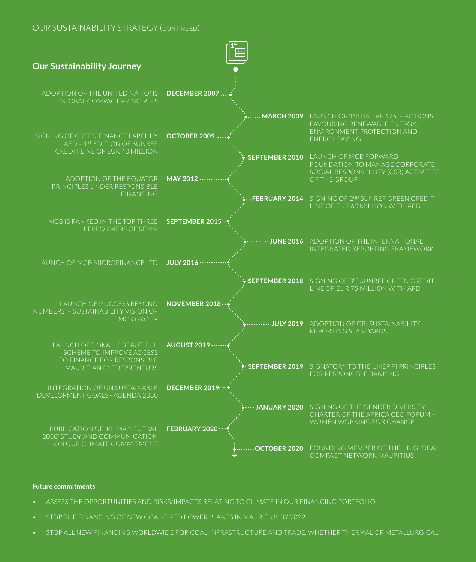## OUR SUSTAINABILITY STRATEGY (continued)



#### **Future commitments**

- ASSESS THE OPPORTUNITIES AND RISKS/IMPACTS RELATING TO CLIMATE IN OUR FINANCING PORTFOLIO
- STOP THE FINANCING OF NEW COAL-FIRED POWER PLANTS IN MAURITIUS BY 2022
- STOP ALL NEW FINANCING WORLDWIDE FOR COAL INFRASTRUCTURE AND TRADE, WHETHER THERMAL OR METALLURGICAL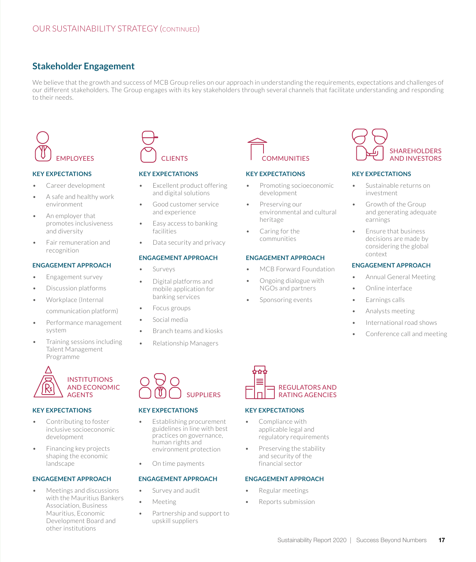# **Stakeholder Engagement**

We believe that the growth and success of MCB Group relies on our approach in understanding the requirements, expectations and challenges of our different stakeholders. The Group engages with its key stakeholders through several channels that facilitate understanding and responding to their needs.



### **KEY EXPECTATIONS**

- Career development
- A safe and healthy work environment
- An employer that promotes inclusiveness and diversity
- Fair remuneration and recognition

### **ENGAGEMENT APPROACH**

- Engagement survey
- Discussion platforms
- Workplace (Internal communication platform)
- Performance management system
- Training sessions including Talent Management Programme



### **KEY EXPECTATIONS**

- Contributing to foster inclusive socioeconomic development
- Financing key projects shaping the economic landscape

### **ENGAGEMENT APPROACH**

• Meetings and discussions with the Mauritius Bankers Association, Business Mauritius, Economic Development Board and other institutions



### **KEY EXPECTATIONS**

- Excellent product offering and digital solutions
- Good customer service and experience
- Easy access to banking facilities
- Data security and privacy

### **ENGAGEMENT APPROACH**

- **Surveys**
- Digital platforms and mobile application for banking services
- Focus groups
- Social media
	- Branch teams and kiosks
- Relationship Managers



### **KEY EXPECTATIONS**

- Establishing procurement guidelines in line with best practices on governance, human rights and environment protection
- On time payments

### **ENGAGEMENT APPROACH**

- Survey and audit
- Meeting
- Partnership and support to upskill suppliers



### **KEY EXPECTATIONS**

- Promoting socioeconomic development
- Preserving our environmental and cultural heritage
- Caring for the communities

### **ENGAGEMENT APPROACH**

- MCB Forward Foundation
- Ongoing dialogue with NGOs and partners
- Sponsoring events
- Online interface
- Earnings calls
- Analysts meeting
- International road shows
- Conference call and meeting

• Annual General Meeting



### **KEY EXPECTATIONS**

- Compliance with applicable legal and regulatory requirements
- Preserving the stability and security of the financial sector

### **ENGAGEMENT APPROACH**

- Regular meetings
- Reports submission



#### **KEY EXPECTATIONS**

- Sustainable returns on investment
- Growth of the Group and generating adequate earnings
- Ensure that business decisions are made by considering the global context

### **ENGAGEMENT APPROACH**

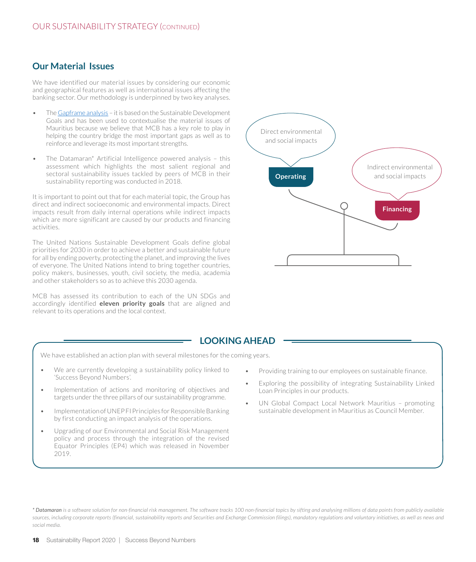# **Our Material Issues**

We have identified our material issues by considering our economic and geographical features as well as international issues affecting the banking sector. Our methodology is underpinned by two key analyses.

- The [Gapframe analysis](https://gapframe.org/global-data-analysis/)  it is based on the Sustainable Development Goals and has been used to contextualise the material issues of Mauritius because we believe that MCB has a key role to play in helping the country bridge the most important gaps as well as to reinforce and leverage its most important strengths.
- The Datamaran\* Artificial Intelligence powered analysis this assessment which highlights the most salient regional and sectoral sustainability issues tackled by peers of MCB in their sustainability reporting was conducted in 2018.

It is important to point out that for each material topic, the Group has direct and indirect socioeconomic and environmental impacts. Direct impacts result from daily internal operations while indirect impacts which are more significant are caused by our products and financing activities.

The United Nations Sustainable Development Goals define global priorities for 2030 in order to achieve a better and sustainable future for all by ending poverty, protecting the planet, and improving the lives of everyone. The United Nations intend to bring together countries, policy makers, businesses, youth, civil society, the media, academia and other stakeholders so as to achieve this 2030 agenda.

MCB has assessed its contribution to each of the UN SDGs and accordingly identified **eleven priority goals** that are aligned and relevant to its operations and the local context.



### **LOOKING AHEAD**

We have established an action plan with several milestones for the coming years.

- We are currently developing a sustainability policy linked to 'Success Beyond Numbers'.
- Implementation of actions and monitoring of objectives and targets under the three pillars of our sustainability programme.
- Implementation of UNEP FI Principles for Responsible Banking by first conducting an impact analysis of the operations.
- Upgrading of our Environmental and Social Risk Management policy and process through the integration of the revised Equator Principles (EP4) which was released in November 2019.
- Providing training to our employees on sustainable finance.
- Exploring the possibility of integrating Sustainability Linked Loan Principles in our products.
- UN Global Compact Local Network Mauritius promoting sustainable development in Mauritius as Council Member.

*\* Datamaran is a software solution for non-financial risk management. The software tracks 100 non-financial topics by sifting and analysing millions of data points from publicly available sources, including corporate reports (financial, sustainability reports and Securities and Exchange Commission filings), mandatory regulations and voluntary initiatives, as well as news and social media.*